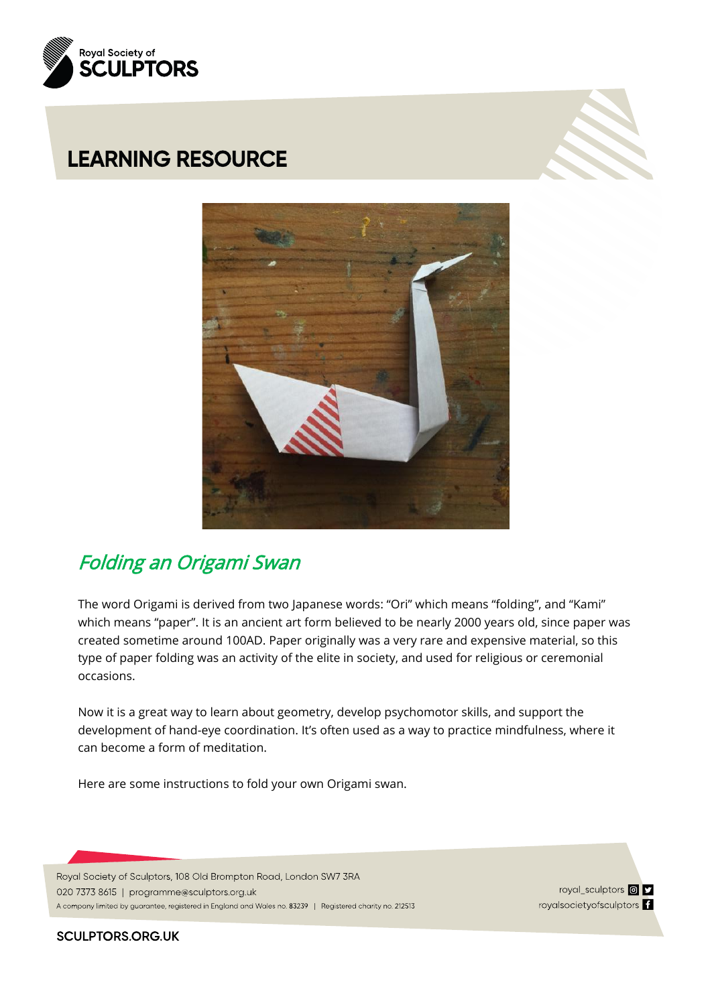





## Folding an Origami Swan

The word Origami is derived from two Japanese words: "Ori" which means "folding", and "Kami" which means "paper". It is an ancient art form believed to be nearly 2000 years old, since paper was created sometime around 100AD. Paper originally was a very rare and expensive material, so this type of paper folding was an activity of the elite in society, and used for religious or ceremonial occasions.

Now it is a great way to learn about geometry, develop psychomotor skills, and support the development of hand-eye coordination. It's often used as a way to practice mindfulness, where it can become a form of meditation.

Here are some instructions to fold your own Origami swan.

Royal Society of Sculptors, 108 Old Brompton Road, London SW7 3RA

020 7373 8615 | programme@sculptors.org.uk

A company limited by guarantee, registered in England and Wales no. 83239 | Registered charity no. 212513

royal\_sculptors **@D** royalsocietyofsculptors f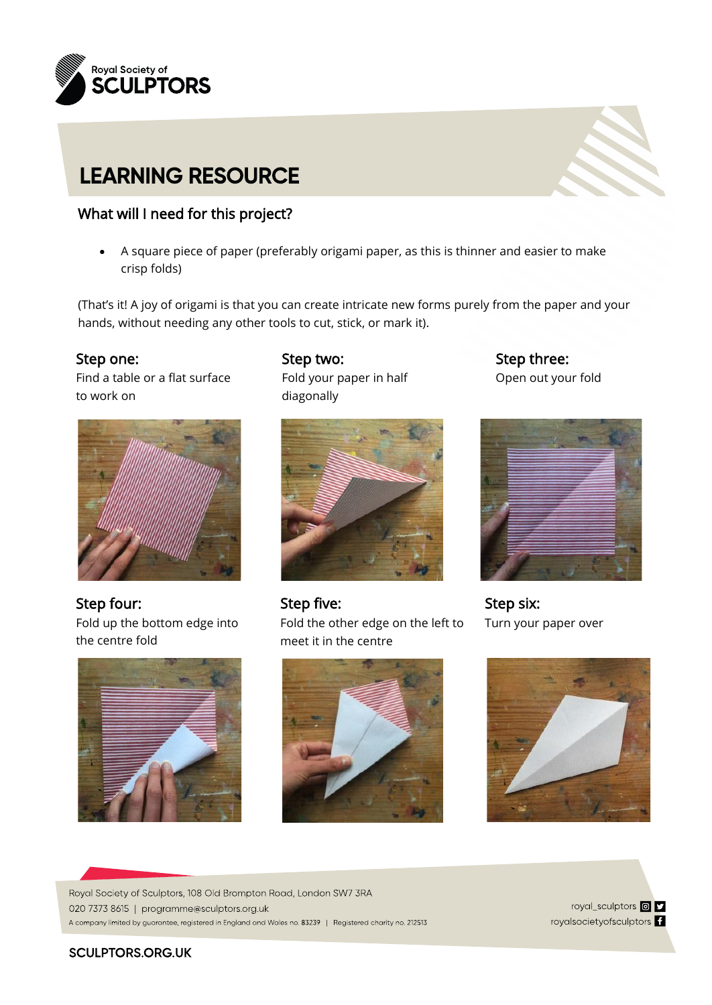

### What will I need for this project?

• A square piece of paper (preferably origami paper, as this is thinner and easier to make crisp folds)

(That's it! A joy of origami is that you can create intricate new forms purely from the paper and your hands, without needing any other tools to cut, stick, or mark it).

### Step one:

 Find a table or a flat surface to work on



 Step four: Fold up the bottom edge into the centre fold



Step two: Fold your paper in half diagonally



Step five: Fold the other edge on the left to meet it in the centre



Step three: Open out your fold



Step six: Turn your paper over



Royal Society of Sculptors, 108 Old Brompton Road, London SW7 3RA 020 7373 8615 | programme@sculptors.org.uk A company limited by guarantee, registered in England and Wales no. 83239 | Registered charity no. 212513

royal\_sculptors **@D** royalsocietyofsculptors <sup>1</sup>

#### **SCULPTORS,ORG.UK**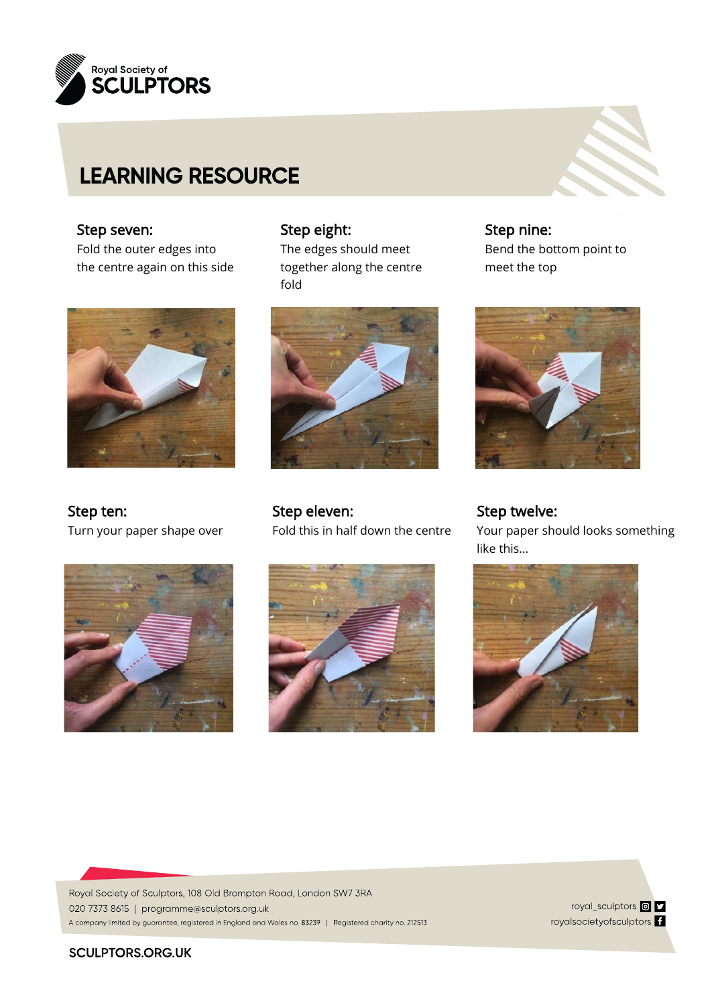

## Step seven:

 Fold the outer edges into the centre again on this side



Step ten: Turn your paper shape over



### Step eight:

The edges should meet together along the centre fold



Step eleven: Fold this in half down the centre





Step twelve: Your paper should looks something like this…



Royal Society of Sculptors, 108 Old Brompton Road, London SW7 3RA 020 7373 8615 | programme@sculptors.org.uk A company limited by guarantee, registered in England and Wales no. 83239 | Registered charity no. 212513

royal\_sculptors **@D** royalsocietyofsculptors <sup>1</sup>

#### **SCULPTORS.ORG.UK**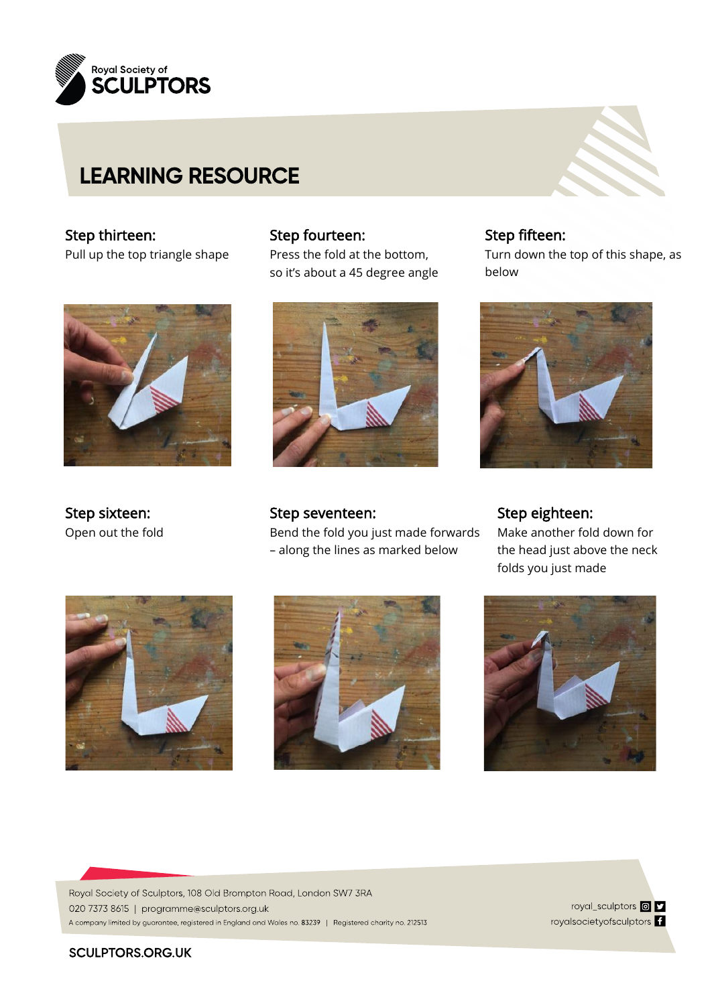

### Step thirteen:

Pull up the top triangle shape



Step sixteen: Open out the fold

### Step fourteen:

Press the fold at the bottom, so it's about a 45 degree angle



Step seventeen: Bend the fold you just made forwards – along the lines as marked below

Step fifteen: Turn down the top of this shape, as below



Step eighteen: Make another fold down for the head just above the neck folds you just made







Royal Society of Sculptors, 108 Old Brompton Road, London SW7 3RA 020 7373 8615 | programme@sculptors.org.uk A company limited by guarantee, registered in England and Wales no. 83239 | Registered charity no. 212513

royal\_sculptors **@D** royalsocietyofsculptors <sup>1</sup>

#### **SCULPTORS.ORG.UK**